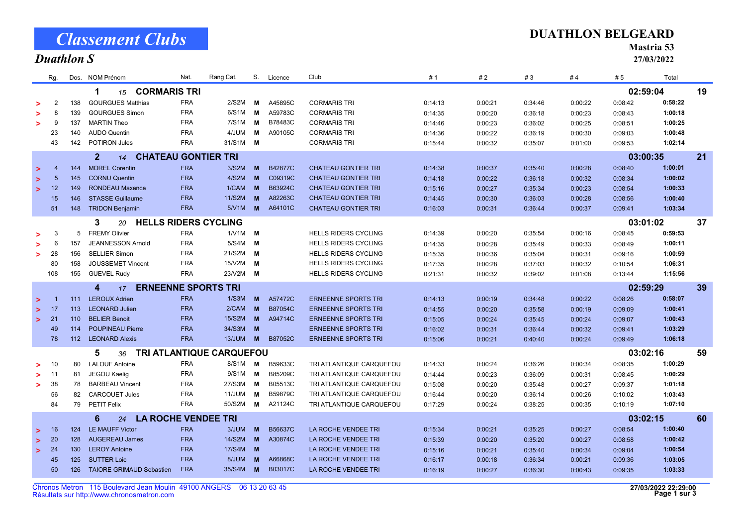|  | <b>Classement Clubs</b> |  |
|--|-------------------------|--|
|  |                         |  |

## Duathlon S

Mastria 53

27/03/2022

|        | Rg.                                                |     | Dos. NOM Prénom                       | Nat.       | Rang Cat.                | S.       | Licence        | Club                        | #1      | #2      | #3      | #4       | # 5      | Total   |    |
|--------|----------------------------------------------------|-----|---------------------------------------|------------|--------------------------|----------|----------------|-----------------------------|---------|---------|---------|----------|----------|---------|----|
|        | <b>CORMARIS TRI</b><br>1<br>15                     |     |                                       |            |                          |          |                |                             |         |         |         |          | 02:59:04 |         | 19 |
|        | $\overline{2}$                                     | 138 | <b>GOURGUES Matthias</b>              | <b>FRA</b> | 2/S2M                    | M        | A45895C        | <b>CORMARIS TRI</b>         | 0:14:13 | 0:00:21 | 0:34:46 | 0:00:22  | 0:08:42  | 0:58:22 |    |
|        | 8                                                  | 139 | <b>GOURGUES Simon</b>                 | <b>FRA</b> | 6/S1M                    | м        | A59783C        | <b>CORMARIS TRI</b>         | 0:14:35 | 0:00:20 | 0:36:18 | 0:00:23  | 0:08:43  | 1:00:18 |    |
|        | 9                                                  | 137 | <b>MARTIN Theo</b>                    | <b>FRA</b> | 7/S1M                    | м        | B78483C        | <b>CORMARIS TRI</b>         | 0:14:46 | 0:00:23 | 0:36:02 | 0:00:25  | 0:08:51  | 1:00:25 |    |
|        | 23                                                 | 140 | <b>AUDO Quentin</b>                   | <b>FRA</b> | 4/JUM                    | M        | A90105C        | <b>CORMARIS TRI</b>         | 0:14:36 | 0:00:22 | 0:36:19 | 0:00:30  | 0:09:03  | 1:00:48 |    |
|        | 43                                                 | 142 | POTIRON Jules                         | <b>FRA</b> | 31/S1M M                 |          |                | <b>CORMARIS TRI</b>         | 0:15:44 | 0:00:32 | 0:35:07 | 0:01:00  | 0:09:53  | 1:02:14 |    |
|        | 2 <sup>1</sup><br><b>CHATEAU GONTIER TRI</b><br>14 |     |                                       |            |                          |          |                |                             |         |         |         |          | 03:00:35 |         | 21 |
| $\geq$ | $\overline{4}$                                     | 144 | <b>MOREL Corentin</b>                 | <b>FRA</b> | 3/S2M                    | M        | <b>B42877C</b> | <b>CHATEAU GONTIER TRI</b>  | 0:14:38 | 0:00:37 | 0:35:40 | 0:00:28  | 0:08:40  | 1:00:01 |    |
| $\geq$ | $5\phantom{.0}$                                    | 145 | <b>CORNU Quentin</b>                  | <b>FRA</b> | 4/S2M                    | M        | C09319C        | <b>CHATEAU GONTIER TRI</b>  | 0:14:18 | 0:00:22 | 0:36:18 | 0:00:32  | 0:08:34  | 1:00:02 |    |
| $\geq$ | 12                                                 | 149 | <b>RONDEAU Maxence</b>                | <b>FRA</b> | 1/CAM                    | M        | B63924C        | <b>CHATEAU GONTIER TRI</b>  | 0:15:16 | 0:00:27 | 0:35:34 | 0:00:23  | 0:08:54  | 1:00:33 |    |
|        | 15                                                 | 146 | <b>STASSE Guillaume</b>               | <b>FRA</b> | 11/S2M                   | M        | A82263C        | <b>CHATEAU GONTIER TRI</b>  | 0:14:45 | 0:00:30 | 0:36:03 | 0:00:28  | 0:08:56  | 1:00:40 |    |
|        | 51                                                 | 148 | <b>TRIDON Benjamin</b>                | <b>FRA</b> | 5/VM                     | <b>M</b> | A64101C        | <b>CHATEAU GONTIER TRI</b>  | 0:16:03 | 0:00:31 | 0:36:44 | 0:00:37  | 0:09:41  | 1:03:34 |    |
|        | <b>HELLS RIDERS CYCLING</b><br>3<br>20             |     |                                       |            |                          |          |                |                             |         |         |         | 03:01:02 |          | 37      |    |
|        | 3                                                  | 5   | <b>FREMY Olivier</b>                  | <b>FRA</b> | $1/V1M$ M                |          |                | <b>HELLS RIDERS CYCLING</b> | 0:14:39 | 0:00:20 | 0:35:54 | 0:00:16  | 0:08:45  | 0:59:53 |    |
|        | 6                                                  | 157 | <b>JEANNESSON Arnold</b>              | <b>FRA</b> | 5/S4M                    | M        |                | <b>HELLS RIDERS CYCLING</b> | 0:14:35 | 0:00:28 | 0:35:49 | 0:00:33  | 0:08:49  | 1:00:11 |    |
| ↘      | 28                                                 | 156 | <b>SELLIER Simon</b>                  | <b>FRA</b> | 21/S2M                   | M        |                | <b>HELLS RIDERS CYCLING</b> | 0:15:35 | 0:00:36 | 0:35:04 | 0:00:31  | 0:09:16  | 1:00:59 |    |
|        | 80                                                 | 158 | <b>JOUSSEMET Vincent</b>              | <b>FRA</b> | 15/V2M                   | M        |                | <b>HELLS RIDERS CYCLING</b> | 0:17:35 | 0:00:28 | 0:37:03 | 0:00:32  | 0:10:54  | 1:06:31 |    |
|        | 108                                                | 155 | <b>GUEVEL Rudy</b>                    | <b>FRA</b> | 23/V2M <b>M</b>          |          |                | <b>HELLS RIDERS CYCLING</b> | 0:21:31 | 0:00:32 | 0:39:02 | 0:01:08  | 0:13:44  | 1:15:56 |    |
|        |                                                    |     | <b>ERNEENNE SPORTS TRI</b><br>4<br>17 |            |                          |          |                |                             |         |         |         |          | 02:59:29 |         | 39 |
| $\geq$ | и                                                  | 111 | <b>LEROUX Adrien</b>                  | <b>FRA</b> | 1/S3M                    | M        | A57472C        | <b>ERNEENNE SPORTS TRI</b>  | 0:14:13 | 0:00:19 | 0:34:48 | 0:00:22  | 0:08:26  | 0:58:07 |    |
| $\geq$ | 17                                                 | 113 | <b>LEONARD Julien</b>                 | <b>FRA</b> | 2/CAM                    | M        | B87054C        | <b>ERNEENNE SPORTS TRI</b>  | 0:14:55 | 0:00:20 | 0:35:58 | 0:00:19  | 0:09:09  | 1:00:41 |    |
| $\geq$ | 21                                                 | 110 | <b>BELIER Benoit</b>                  | <b>FRA</b> | 15/S2M                   | M        | A94714C        | <b>ERNEENNE SPORTS TRI</b>  | 0:15:05 | 0:00:24 | 0:35:45 | 0:00:24  | 0:09:07  | 1:00:43 |    |
|        | 49                                                 | 114 | <b>POUPINEAU Pierre</b>               | <b>FRA</b> | 34/S3M                   | M        |                | <b>ERNEENNE SPORTS TRI</b>  | 0:16:02 | 0:00:31 | 0:36:44 | 0:00:32  | 0:09:41  | 1:03:29 |    |
|        | 78                                                 | 112 | <b>LEONARD Alexis</b>                 | <b>FRA</b> | <b>13/JUM</b>            | <b>M</b> | <b>B87052C</b> | <b>ERNEENNE SPORTS TRI</b>  | 0:15:06 | 0:00:21 | 0:40:40 | 0:00:24  | 0:09:49  | 1:06:18 |    |
|        |                                                    |     | 5<br>36                               |            | TRI ATLANTIQUE CARQUEFOU |          |                |                             |         |         |         |          | 03:02:16 |         | 59 |
|        | 10                                                 | 80  | <b>LALOUF Antoine</b>                 | <b>FRA</b> | 8/S1M                    | M        | B59633C        | TRI ATLANTIQUE CARQUEFOU    | 0:14:33 | 0:00:24 | 0:36:26 | 0:00:34  | 0:08:35  | 1:00:29 |    |
|        | 11                                                 | 81  | JEGOU Kaelig                          | <b>FRA</b> | 9/S1M                    | M        | B85209C        | TRI ATLANTIQUE CARQUEFOU    | 0:14:44 | 0:00:23 | 0:36:09 | 0:00:31  | 0:08:45  | 1:00:29 |    |
| ↘      | 38                                                 | 78  | <b>BARBEAU Vincent</b>                | <b>FRA</b> | 27/S3M                   | м        | B05513C        | TRI ATLANTIQUE CARQUEFOU    | 0:15:08 | 0:00:20 | 0:35:48 | 0:00:27  | 0:09:37  | 1:01:18 |    |
|        | 56                                                 | 82  | <b>CARCOUET Jules</b>                 | <b>FRA</b> | 11/JUM                   | М        | B59879C        | TRI ATLANTIQUE CARQUEFOU    | 0:16:44 | 0:00:20 | 0:36:14 | 0:00:26  | 0:10:02  | 1:03:43 |    |
|        | 84                                                 | 79  | PETIT Felix                           | <b>FRA</b> | 50/S2M                   | M        | A21124C        | TRI ATLANTIQUE CARQUEFOU    | 0:17:29 | 0:00:24 | 0:38:25 | 0:00:35  | 0:10:19  | 1:07:10 |    |
|        |                                                    |     | <b>LA ROCHE VENDEE TRI</b><br>6<br>24 |            |                          |          |                |                             |         |         |         |          | 03:02:15 |         | 60 |
| $\geq$ | 16                                                 | 124 | <b>LE MAUFF Victor</b>                | <b>FRA</b> | 3/JUM                    | M        | B56637C        | LA ROCHE VENDEE TRI         | 0:15:34 | 0:00:21 | 0:35:25 | 0:00:27  | 0:08:54  | 1:00:40 |    |
|        |                                                    |     |                                       |            |                          |          |                |                             |         |         |         |          |          |         |    |
| $\geq$ | 20                                                 | 128 | <b>AUGEREAU James</b>                 | <b>FRA</b> | 14/S2M                   | <b>M</b> | A30874C        | LA ROCHE VENDEE TRI         | 0:15:39 | 0:00:20 | 0:35:20 | 0:00:27  | 0:08:58  | 1:00:42 |    |
| $\geq$ | 24                                                 | 130 | <b>LEROY Antoine</b>                  | <b>FRA</b> | 17/S4M                   | M        |                | LA ROCHE VENDEE TRI         | 0:15:16 | 0:00:21 | 0:35:40 | 0:00:34  | 0:09:04  | 1:00:54 |    |
|        | 45                                                 | 125 | <b>SUTTER Loic</b>                    | <b>FRA</b> | 8/JUM                    | M        | A66868C        | LA ROCHE VENDEE TRI         | 0:16:17 | 0:00:18 | 0:36:34 | 0:00:21  | 0:09:36  | 1:03:05 |    |
|        | 50                                                 | 126 | <b>TAIORE GRIMAUD Sebastien</b>       | <b>FRA</b> | 35/S4M                   | M        | B03017C        | LA ROCHE VENDEE TRI         | 0:16:19 | 0:00:27 | 0:36:30 | 0:00:43  | 0:09:35  | 1:03:33 |    |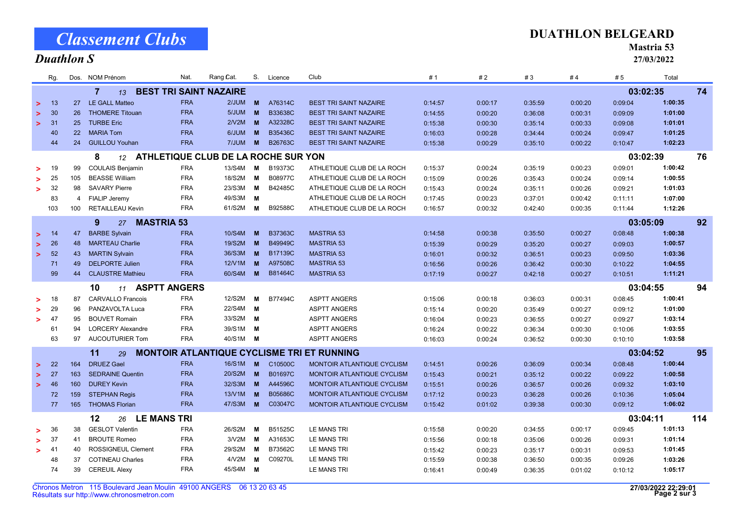Résultats sur http://www.chronosmetron.com Chronos Metron 115 Boulevard Jean Moulin 49100 ANGERS 06 13 20 63 45 0:16:41 0:00:49 0:36:35 0:01:02 0:10:12

|        | <b>BEST TRI SAINT NAZAIRE</b><br>$\overline{7}$<br>13 |            |                                                      |                                                   |                      |                    |                                                          |                    |                    |                    |                    | 03:02:35           |                    | 74  |
|--------|-------------------------------------------------------|------------|------------------------------------------------------|---------------------------------------------------|----------------------|--------------------|----------------------------------------------------------|--------------------|--------------------|--------------------|--------------------|--------------------|--------------------|-----|
| $\geq$ | 13                                                    | 27         | <b>LE GALL Matteo</b>                                | <b>FRA</b><br>2/JUM                               | M                    | A76314C            | <b>BEST TRI SAINT NAZAIRE</b>                            | 0:14:57            | 0:00:17            | 0:35:59            | 0:00:20            | 0:09:04            | 1:00:35            |     |
| $\geq$ | 30                                                    | 26         | <b>THOMERE Titouan</b>                               | 5/JUM<br><b>FRA</b>                               | <b>M</b>             | B33638C            | <b>BEST TRI SAINT NAZAIRE</b>                            | 0:14:55            | 0:00:20            | 0:36:08            | 0:00:31            | 0:09:09            | 1:01:00            |     |
| $\geq$ | 31                                                    | 25         | <b>TURBE Eric</b>                                    | <b>FRA</b><br>2N2M                                | <b>M</b>             | A32328C            | <b>BEST TRI SAINT NAZAIRE</b>                            | 0:15:38            | 0:00:30            | 0:35:14            | 0:00:33            | 0:09:08            | 1:01:01            |     |
|        | 40                                                    | 22         | <b>MARIA Tom</b>                                     | <b>FRA</b><br>6/JUM                               | <b>M</b>             | B35436C            | <b>BEST TRI SAINT NAZAIRE</b>                            | 0:16:03            | 0:00:28            | 0:34:44            | 0:00:24            | 0:09:47            | 1:01:25            |     |
|        | 44                                                    | 24         | <b>GUILLOU Youhan</b>                                | <b>FRA</b><br>7/JUM                               | <b>M</b>             | B26763C            | <b>BEST TRI SAINT NAZAIRE</b>                            | 0:15:38            | 0:00:29            | 0:35:10            | 0:00:22            | 0:10:47            | 1:02:23            |     |
|        |                                                       |            | 8<br>12 <sup>1</sup>                                 | ATHLETIQUE CLUB DE LA ROCHE SUR YON               |                      |                    |                                                          |                    |                    |                    |                    | 03:02:39           |                    | 76  |
| >      | 19                                                    | 99         | <b>COULAIS Benjamin</b>                              | <b>FRA</b><br>13/S4M                              | M                    | B19373C            | ATHLETIQUE CLUB DE LA ROCH                               | 0:15:37            | 0:00:24            | 0:35:19            | 0:00:23            | 0:09:01            | 1:00:42            |     |
| >      | 25                                                    | 105        | <b>BEASSE William</b>                                | <b>FRA</b><br>18/S2M                              | M                    | B08977C            | ATHLETIQUE CLUB DE LA ROCH                               | 0:15:09            | 0:00:26            | 0:35:43            | 0:00:24            | 0:09:14            | 1:00:55            |     |
| >      | 32                                                    | 98         | <b>SAVARY Pierre</b>                                 | <b>FRA</b><br>23/S3M                              | M                    | B42485C            | ATHLETIQUE CLUB DE LA ROCH                               | 0:15:43            | 0:00:24            | 0:35:11            | 0:00:26            | 0:09:21            | 1:01:03            |     |
|        | 83                                                    | 4          | FIALIP Jeremy                                        | <b>FRA</b><br>49/S3M                              | M                    |                    | ATHLETIQUE CLUB DE LA ROCH                               | 0:17:45            | 0:00:23            | 0:37:01            | 0:00:42            | 0:11:11            | 1:07:00            |     |
|        | 103                                                   | 100        | <b>RETAILLEAU Kevin</b>                              | <b>FRA</b><br>61/S2M                              | M                    | B92588C            | ATHLETIQUE CLUB DE LA ROCH                               | 0:16:57            | 0:00:32            | 0:42:40            | 0:00:35            | 0:11:44            | 1:12:26            |     |
|        |                                                       |            | <b>MASTRIA 53</b><br>9<br>27                         |                                                   |                      |                    |                                                          |                    |                    |                    |                    | 03:05:09           |                    | 92  |
| $\geq$ | 14                                                    | 47         | <b>BARBE Sylvain</b>                                 | <b>FRA</b><br>10/S4M                              | M                    | B37363C            | <b>MASTRIA 53</b>                                        | 0:14:58            | 0:00:38            | 0:35:50            | 0:00:27            | 0:08:48            | 1:00:38            |     |
| $\geq$ | 26                                                    | 48         | <b>MARTEAU Charlie</b>                               | <b>FRA</b><br>19/S2M                              | <b>M</b>             | B49949C            | <b>MASTRIA 53</b>                                        | 0:15:39            | 0:00:29            | 0:35:20            | 0:00:27            | 0:09:03            | 1:00:57            |     |
| $\geq$ | 52                                                    | 43         | <b>MARTIN Sylvain</b>                                | <b>FRA</b><br>36/S3M                              | <b>M</b>             | B17139C            | <b>MASTRIA 53</b>                                        | 0:16:01            | 0:00:32            | 0:36:51            | 0:00:23            | 0:09:50            | 1:03:36            |     |
|        | 71                                                    | 49         | <b>DELPORTE Julien</b>                               | <b>FRA</b><br>12/V1M                              | <b>M</b>             | A97508C            | <b>MASTRIA 53</b>                                        | 0:16:56            | 0:00:26            | 0:36:42            | 0:00:30            | 0:10:22            | 1:04:55            |     |
|        | 99                                                    | 44         | <b>CLAUSTRE Mathieu</b>                              | <b>FRA</b><br>60/S4M                              | <b>M</b>             | <b>B81464C</b>     | <b>MASTRIA 53</b>                                        | 0:17:19            | 0:00:27            | 0:42:18            | 0:00:27            | 0:10:51            | 1:11:21            |     |
|        |                                                       |            | <b>ASPTT ANGERS</b><br>10<br>11                      |                                                   |                      |                    |                                                          |                    |                    |                    |                    | 03:04:55           |                    | 94  |
|        | 18                                                    | 87         | <b>CARVALLO Francois</b>                             | 12/S2M<br><b>FRA</b>                              | M                    | B77494C            | <b>ASPTT ANGERS</b>                                      | 0:15:06            | 0:00:18            | 0:36:03            | 0:00:31            | 0:08:45            | 1:00:41            |     |
| >      | 29                                                    | 96         | PANZAVOLTA Luca                                      | <b>FRA</b><br>22/S4M                              | M                    |                    | <b>ASPTT ANGERS</b>                                      | 0:15:14            | 0:00:20            | 0:35:49            | 0:00:27            | 0:09:12            | 1:01:00            |     |
| >      | 47                                                    | 95         | <b>BOUVET Romain</b>                                 | <b>FRA</b><br>33/S2M                              | M                    |                    | <b>ASPTT ANGERS</b>                                      | 0:16:04            | 0:00:23            | 0:36:55            | 0:00:27            | 0:09:27            | 1:03:14            |     |
|        | 61                                                    | 94         | <b>LORCERY Alexandre</b>                             | <b>FRA</b><br>39/S1M                              | M                    |                    | <b>ASPTT ANGERS</b>                                      | 0:16:24            | 0:00:22            | 0:36:34            | 0:00:30            | 0:10:06            | 1:03:55            |     |
|        | 63                                                    | 97         | AUCOUTURIER Tom                                      | <b>FRA</b><br>40/S1M                              | M                    |                    | <b>ASPTT ANGERS</b>                                      | 0:16:03            | 0:00:24            | 0:36:52            | 0:00:30            | 0:10:10            | 1:03:58            |     |
|        |                                                       |            |                                                      |                                                   |                      |                    |                                                          |                    |                    |                    |                    |                    |                    |     |
|        |                                                       |            | 11<br>29                                             | <b>MONTOIR ATLANTIQUE CYCLISME TRI ET RUNNING</b> |                      |                    |                                                          |                    |                    |                    |                    | 03:04:52           |                    | 95  |
| $\geq$ | 22                                                    | 164        | <b>DRUEZ Gael</b>                                    | <b>FRA</b>                                        | 16/S1M <b>M</b>      | C10500C            | MONTOIR ATLANTIQUE CYCLISM                               | 0:14:51            | 0:00:26            | 0:36:09            | 0:00:34            | 0:08:48            | 1:00:44            |     |
| $\geq$ | 27                                                    | 163<br>160 | <b>SEDRAINE Quentin</b><br><b>DUREY Kevin</b>        | <b>FRA</b><br>20/S2M<br><b>FRA</b><br>32/S3M      | <b>M</b><br><b>M</b> | B01697C<br>A44596C | MONTOIR ATLANTIQUE CYCLISM                               | 0:15:43            | 0:00:21            | 0:35:12            | 0:00:22            | 0:09:22            | 1:00:58            |     |
| $\geq$ | 46<br>72                                              | 159        | <b>STEPHAN Regis</b>                                 | <b>FRA</b><br>13/N1M                              | <b>M</b>             | <b>B05686C</b>     | MONTOIR ATLANTIQUE CYCLISM<br>MONTOIR ATLANTIQUE CYCLISM | 0:15:51            | 0:00:26            | 0:36:57            | 0:00:26            | 0:09:32            | 1:03:10            |     |
|        | 77                                                    | 165        | <b>THOMAS Florian</b>                                | <b>FRA</b><br>47/S3M                              | <b>M</b>             | C03047C            | MONTOIR ATLANTIQUE CYCLISM                               | 0:17:12            | 0:00:23            | 0:36:28            | 0:00:26            | 0:10:36            | 1:05:04            |     |
|        |                                                       |            |                                                      |                                                   |                      |                    |                                                          | 0:15:42            | 0:01:02            | 0:39:38            | 0:00:30            | 0:09:12            | 1:06:02            |     |
|        |                                                       |            | <b>LE MANS TRI</b><br>12<br>26                       |                                                   |                      |                    |                                                          |                    |                    |                    |                    | 03:04:11           |                    | 114 |
| >      | 36                                                    | 38         | <b>GESLOT Valentin</b>                               | <b>FRA</b><br>26/S2M                              | M                    | B51525C            | LE MANS TRI                                              | 0:15:58            | 0:00:20            | 0:34:55            | 0:00:17            | 0:09:45            | 1:01:13            |     |
| >      | 37                                                    | 41         | <b>BROUTE Romeo</b>                                  | <b>FRA</b><br>3N2M                                | M                    | A31653C            | LE MANS TRI                                              | 0:15:56            | 0:00:18            | 0:35:06            | 0:00:26            | 0:09:31            | 1:01:14            |     |
|        |                                                       |            |                                                      |                                                   |                      |                    |                                                          |                    |                    |                    |                    |                    |                    |     |
| >      | 41<br>48                                              | 40<br>37   | <b>ROSSIGNEUL Clement</b><br><b>COTINEAU Charles</b> | <b>FRA</b><br>29/S2M<br><b>FRA</b><br>4/V2M       | M<br>M               | B73562C<br>C09270L | <b>LE MANS TRI</b><br>LE MANS TRI                        | 0:15:42<br>0:15:59 | 0:00:23<br>0:00:38 | 0:35:17<br>0:36:50 | 0:00:31<br>0:00:35 | 0:09:53<br>0:09:26 | 1:01:45<br>1:03:26 |     |

74 39 CEREUIL Alexy LE MANS TRI FRA 45/S4M M 1:05:17

Rg. NOM Prénom Dos. Cat. Total

Nat. Rang / S. Club Licence # 1 # 5 # 2 # 3 # 4

# Classement Clubs

#### Duathlon S

Mastria 53 27/03/2022